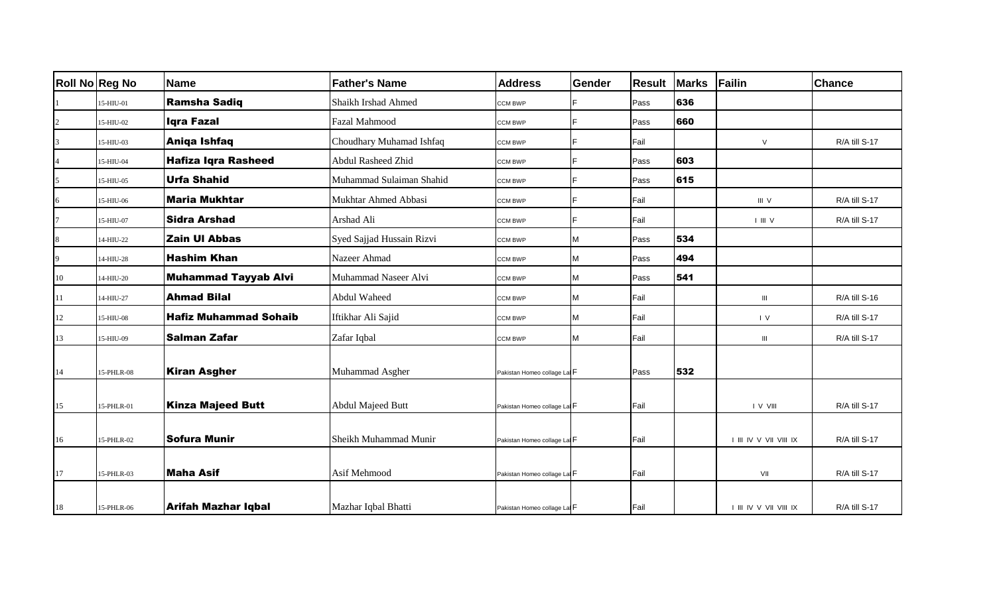|              | <b>Roll No Reg No</b> | <b>Name</b>                  | <b>Father's Name</b>      | <b>Address</b>              | <b>Gender</b> | <b>Result</b> | <b>Marks</b> | Failin                 | <b>Chance</b> |
|--------------|-----------------------|------------------------------|---------------------------|-----------------------------|---------------|---------------|--------------|------------------------|---------------|
|              | 15-HIU-01             | <b>Ramsha Sadiq</b>          | Shaikh Irshad Ahmed       | CCM BWP                     |               | Pass          | 636          |                        |               |
|              | 15-HIU-02             | Iqra Fazal                   | Fazal Mahmood             | CCM BWP                     | E.            | Pass          | 660          |                        |               |
|              | 15-HIU-03             | Aniqa Ishfaq                 | Choudhary Muhamad Ishfaq  | CCM BWP                     |               | Fail          |              | $\vee$                 | R/A till S-17 |
|              | 15-HIU-04             | <b>Hafiza Iqra Rasheed</b>   | <b>Abdul Rasheed Zhid</b> | CCM BWP                     | E.            | Pass          | 603          |                        |               |
|              | 15-HIU-05             | <b>Urfa Shahid</b>           | Muhammad Sulaiman Shahid  | CCM BWP                     | E.            | Pass          | 615          |                        |               |
|              | 15-HIU-06             | <b>Maria Mukhtar</b>         | Mukhtar Ahmed Abbasi      | CCM BWP                     | E             | Fail          |              | III V                  | R/A till S-17 |
|              | 15-HIU-07             | <b>Sidra Arshad</b>          | Arshad Ali                | CCM BWP                     | E.            | Fail          |              | I III V                | R/A till S-17 |
| 8            | 14-HIU-22             | <b>Zain UI Abbas</b>         | Syed Sajjad Hussain Rizvi | CCM BWP                     | М             | Pass          | 534          |                        |               |
| $\mathbf{Q}$ | 14-HIU-28             | <b>Hashim Khan</b>           | Nazeer Ahmad              | CCM BWP                     | М             | Pass          | 494          |                        |               |
| 10           | 14-HIU-20             | <b>Muhammad Tayyab Alvi</b>  | Muhammad Naseer Alvi      | CCM BWP                     | М             | Pass          | 541          |                        |               |
| 11           | 14-HIU-27             | <b>Ahmad Bilal</b>           | Abdul Waheed              | CCM BWP                     | M             | Fail          |              | $\mathbf{III}$         | R/A till S-16 |
| 12           | 15-HIU-08             | <b>Hafiz Muhammad Sohaib</b> | Iftikhar Ali Sajid        | CCM BWP                     | М             | Fail          |              | $\mathsf{I}$ V         | R/A till S-17 |
| 13           | 15-HIU-09             | <b>Salman Zafar</b>          | Zafar Iqbal               | CCM BWP                     | М             | Fail          |              | $\mathbf{III}$         | R/A till S-17 |
| 14           | 15-PHLR-08            | <b>Kiran Asgher</b>          | Muhammad Asgher           | Pakistan Homeo collage La F |               | Pass          | 532          |                        |               |
|              |                       |                              |                           |                             |               |               |              |                        |               |
| 15           | 15-PHLR-01            | <b>Kinza Majeed Butt</b>     | <b>Abdul Majeed Butt</b>  | Pakistan Homeo collage La F |               | Fail          |              | I V VIII               | R/A till S-17 |
|              |                       |                              |                           |                             |               |               |              |                        |               |
| 16           | 15-PHLR-02            | <b>Sofura Munir</b>          | Sheikh Muhammad Munir     | Pakistan Homeo collage La F |               | Fail          |              | I III IV V VII VIII IX | R/A till S-17 |
| 17           | 15-PHLR-03            | <b>Maha Asif</b>             | Asif Mehmood              | Pakistan Homeo collage La F |               | Fail          |              | VII                    | R/A till S-17 |
| 18           | 15-PHLR-06            | Arifah Mazhar Iqbal          | Mazhar Iqbal Bhatti       | Pakistan Homeo collage La F |               | Fail          |              | I III IV V VII VIII IX | R/A till S-17 |